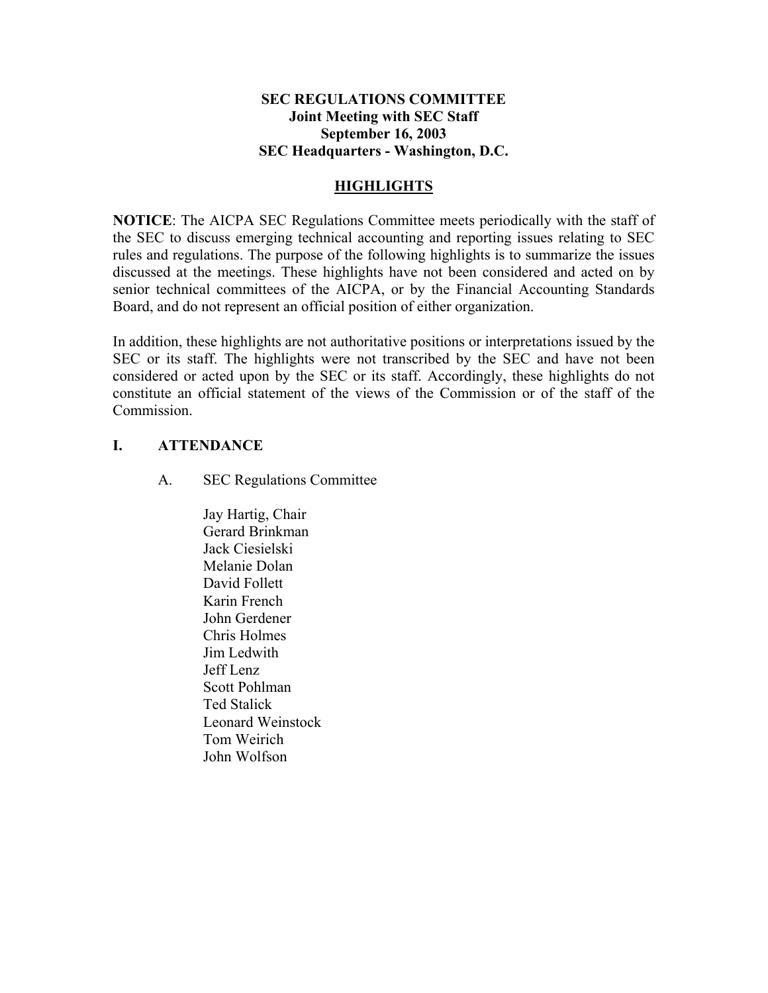## **SEC REGULATIONS COMMITTEE Joint Meeting with SEC Staff September 16, 2003 SEC Headquarters - Washington, D.C.**

## **HIGHLIGHTS**

**NOTICE**: The AICPA SEC Regulations Committee meets periodically with the staff of the SEC to discuss emerging technical accounting and reporting issues relating to SEC rules and regulations. The purpose of the following highlights is to summarize the issues discussed at the meetings. These highlights have not been considered and acted on by senior technical committees of the AICPA, or by the Financial Accounting Standards Board, and do not represent an official position of either organization.

In addition, these highlights are not authoritative positions or interpretations issued by the SEC or its staff. The highlights were not transcribed by the SEC and have not been considered or acted upon by the SEC or its staff. Accordingly, these highlights do not constitute an official statement of the views of the Commission or of the staff of the **Commission** 

## **I. ATTENDANCE**

A. SEC Regulations Committee

Jay Hartig, Chair Gerard Brinkman Jack Ciesielski Melanie Dolan David Follett Karin French John Gerdener Chris Holmes Jim Ledwith Jeff Lenz Scott Pohlman Ted Stalick Leonard Weinstock Tom Weirich John Wolfson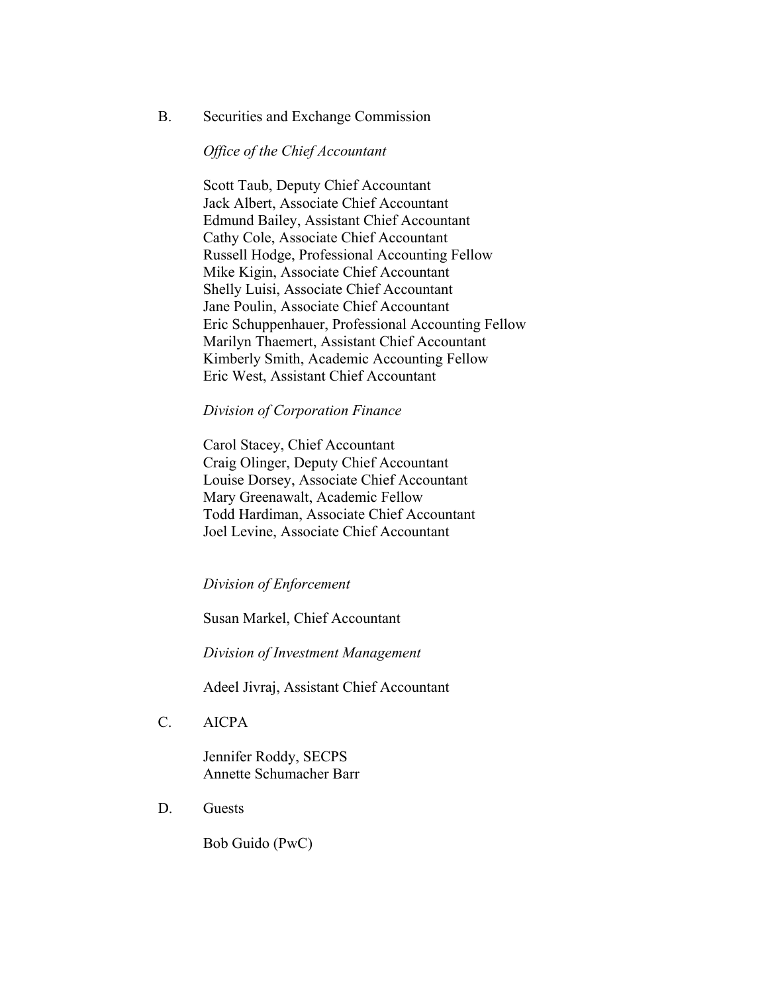#### B. Securities and Exchange Commission

#### *Office of the Chief Accountant*

Scott Taub, Deputy Chief Accountant Jack Albert, Associate Chief Accountant Edmund Bailey, Assistant Chief Accountant Cathy Cole, Associate Chief Accountant Russell Hodge, Professional Accounting Fellow Mike Kigin, Associate Chief Accountant Shelly Luisi, Associate Chief Accountant Jane Poulin, Associate Chief Accountant Eric Schuppenhauer, Professional Accounting Fellow Marilyn Thaemert, Assistant Chief Accountant Kimberly Smith, Academic Accounting Fellow Eric West, Assistant Chief Accountant

#### *Division of Corporation Finance*

 Carol Stacey, Chief Accountant Craig Olinger, Deputy Chief Accountant Louise Dorsey, Associate Chief Accountant Mary Greenawalt, Academic Fellow Todd Hardiman, Associate Chief Accountant Joel Levine, Associate Chief Accountant

#### *Division of Enforcement*

Susan Markel, Chief Accountant

*Division of Investment Management* 

Adeel Jivraj, Assistant Chief Accountant

C. AICPA

 Jennifer Roddy, SECPS Annette Schumacher Barr

D. Guests

Bob Guido (PwC)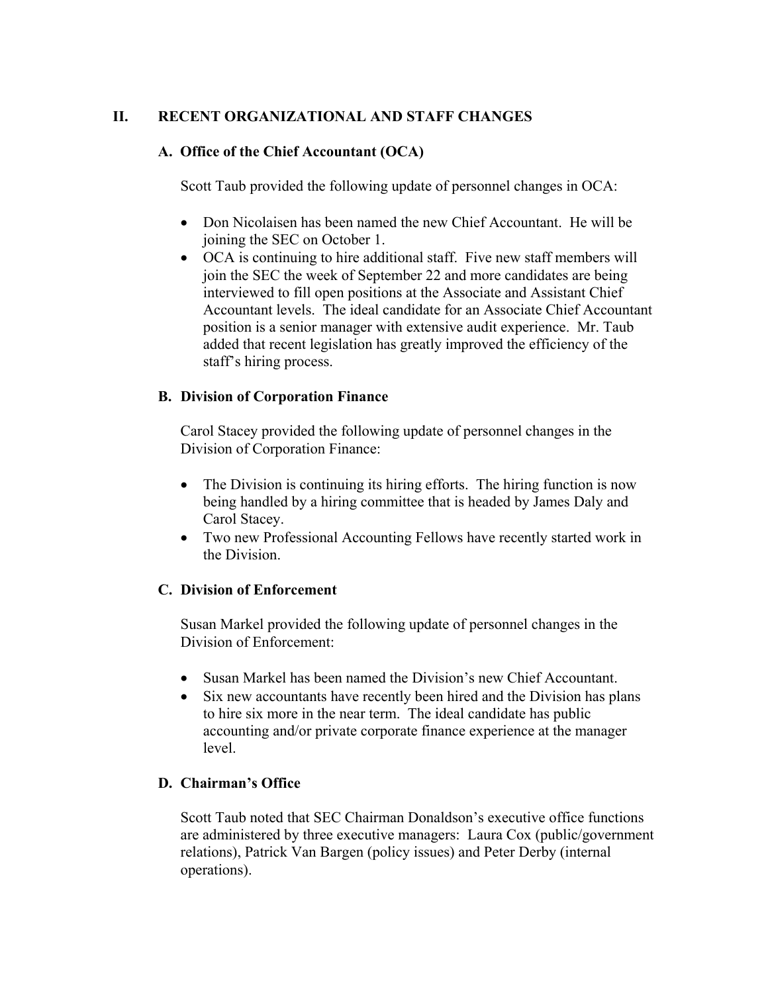## **II. RECENT ORGANIZATIONAL AND STAFF CHANGES**

## **A. Office of the Chief Accountant (OCA)**

Scott Taub provided the following update of personnel changes in OCA:

- Don Nicolaisen has been named the new Chief Accountant. He will be joining the SEC on October 1.
- OCA is continuing to hire additional staff. Five new staff members will join the SEC the week of September 22 and more candidates are being interviewed to fill open positions at the Associate and Assistant Chief Accountant levels. The ideal candidate for an Associate Chief Accountant position is a senior manager with extensive audit experience. Mr. Taub added that recent legislation has greatly improved the efficiency of the staff's hiring process.

## **B. Division of Corporation Finance**

Carol Stacey provided the following update of personnel changes in the Division of Corporation Finance:

- The Division is continuing its hiring efforts. The hiring function is now being handled by a hiring committee that is headed by James Daly and Carol Stacey.
- Two new Professional Accounting Fellows have recently started work in the Division.

## **C. Division of Enforcement**

Susan Markel provided the following update of personnel changes in the Division of Enforcement:

- Susan Markel has been named the Division's new Chief Accountant.
- Six new accountants have recently been hired and the Division has plans to hire six more in the near term. The ideal candidate has public accounting and/or private corporate finance experience at the manager level.

# **D. Chairman's Office**

Scott Taub noted that SEC Chairman Donaldson's executive office functions are administered by three executive managers: Laura Cox (public/government relations), Patrick Van Bargen (policy issues) and Peter Derby (internal operations).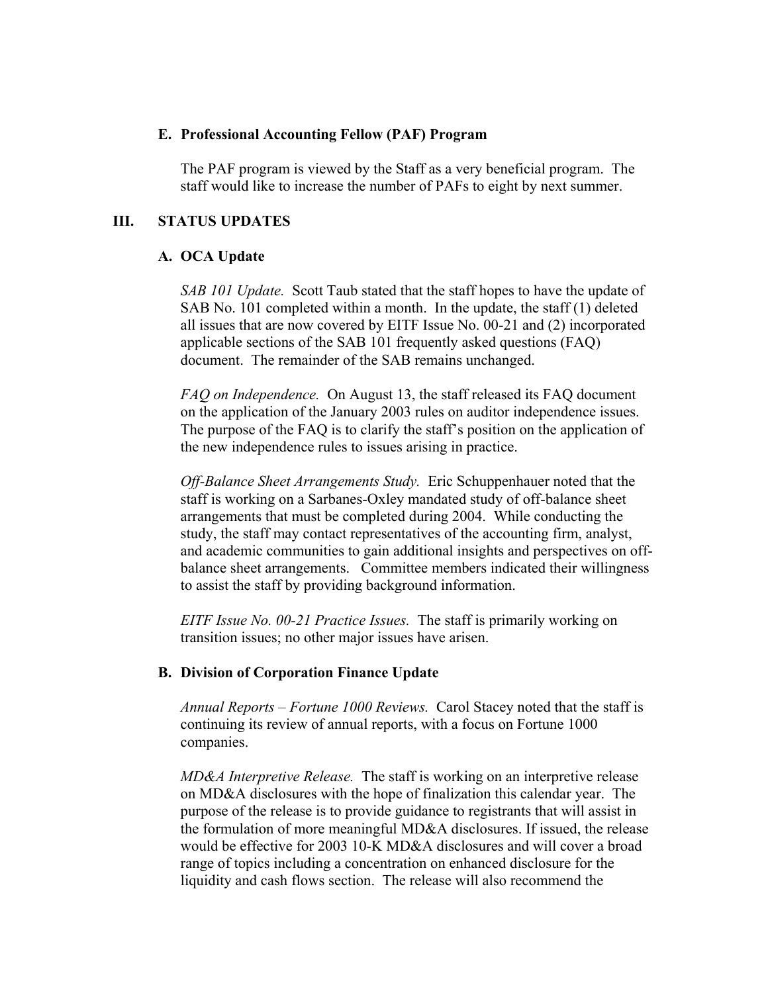#### **E. Professional Accounting Fellow (PAF) Program**

The PAF program is viewed by the Staff as a very beneficial program. The staff would like to increase the number of PAFs to eight by next summer.

## **III. STATUS UPDATES**

### **A. OCA Update**

*SAB 101 Update.* Scott Taub stated that the staff hopes to have the update of SAB No. 101 completed within a month. In the update, the staff (1) deleted all issues that are now covered by EITF Issue No. 00-21 and (2) incorporated applicable sections of the SAB 101 frequently asked questions (FAQ) document. The remainder of the SAB remains unchanged.

 *FAQ on Independence.* On August 13, the staff released its FAQ document on the application of the January 2003 rules on auditor independence issues. The purpose of the FAQ is to clarify the staff's position on the application of the new independence rules to issues arising in practice.

 *Off-Balance Sheet Arrangements Study.* Eric Schuppenhauer noted that the staff is working on a Sarbanes-Oxley mandated study of off-balance sheet arrangements that must be completed during 2004. While conducting the study, the staff may contact representatives of the accounting firm, analyst, and academic communities to gain additional insights and perspectives on offbalance sheet arrangements. Committee members indicated their willingness to assist the staff by providing background information.

 *EITF Issue No. 00-21 Practice Issues.* The staff is primarily working on transition issues; no other major issues have arisen.

### **B. Division of Corporation Finance Update**

*Annual Reports – Fortune 1000 Reviews.* Carol Stacey noted that the staff is continuing its review of annual reports, with a focus on Fortune 1000 companies.

 *MD&A Interpretive Release.* The staff is working on an interpretive release on MD&A disclosures with the hope of finalization this calendar year. The purpose of the release is to provide guidance to registrants that will assist in the formulation of more meaningful MD&A disclosures. If issued, the release would be effective for 2003 10-K MD&A disclosures and will cover a broad range of topics including a concentration on enhanced disclosure for the liquidity and cash flows section. The release will also recommend the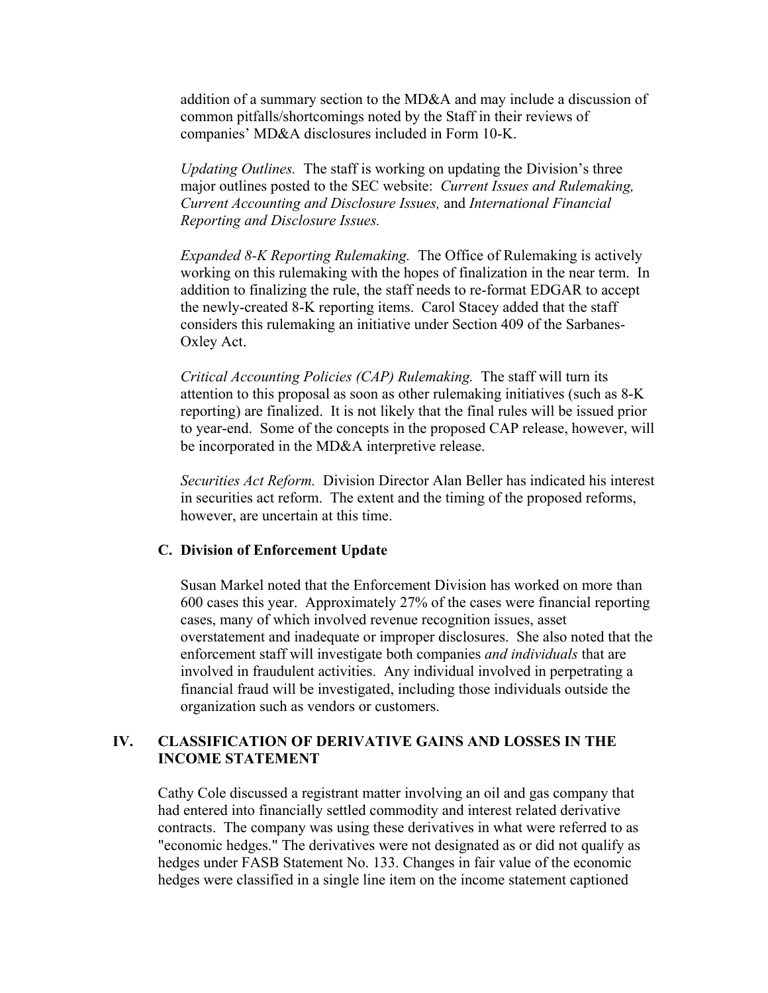addition of a summary section to the MD&A and may include a discussion of common pitfalls/shortcomings noted by the Staff in their reviews of companies' MD&A disclosures included in Form 10-K.

 *Updating Outlines.* The staff is working on updating the Division's three major outlines posted to the SEC website: *Current Issues and Rulemaking, Current Accounting and Disclosure Issues,* and *International Financial Reporting and Disclosure Issues.* 

 *Expanded 8-K Reporting Rulemaking.* The Office of Rulemaking is actively working on this rulemaking with the hopes of finalization in the near term. In addition to finalizing the rule, the staff needs to re-format EDGAR to accept the newly-created 8-K reporting items. Carol Stacey added that the staff considers this rulemaking an initiative under Section 409 of the Sarbanes-Oxley Act.

 *Critical Accounting Policies (CAP) Rulemaking.* The staff will turn its attention to this proposal as soon as other rulemaking initiatives (such as 8-K reporting) are finalized. It is not likely that the final rules will be issued prior to year-end. Some of the concepts in the proposed CAP release, however, will be incorporated in the MD&A interpretive release.

 *Securities Act Reform.* Division Director Alan Beller has indicated his interest in securities act reform. The extent and the timing of the proposed reforms, however, are uncertain at this time.

#### **C. Division of Enforcement Update**

 Susan Markel noted that the Enforcement Division has worked on more than 600 cases this year. Approximately 27% of the cases were financial reporting cases, many of which involved revenue recognition issues, asset overstatement and inadequate or improper disclosures. She also noted that the enforcement staff will investigate both companies *and individuals* that are involved in fraudulent activities. Any individual involved in perpetrating a financial fraud will be investigated, including those individuals outside the organization such as vendors or customers.

### **IV. CLASSIFICATION OF DERIVATIVE GAINS AND LOSSES IN THE INCOME STATEMENT**

Cathy Cole discussed a registrant matter involving an oil and gas company that had entered into financially settled commodity and interest related derivative contracts. The company was using these derivatives in what were referred to as "economic hedges." The derivatives were not designated as or did not qualify as hedges under FASB Statement No. 133. Changes in fair value of the economic hedges were classified in a single line item on the income statement captioned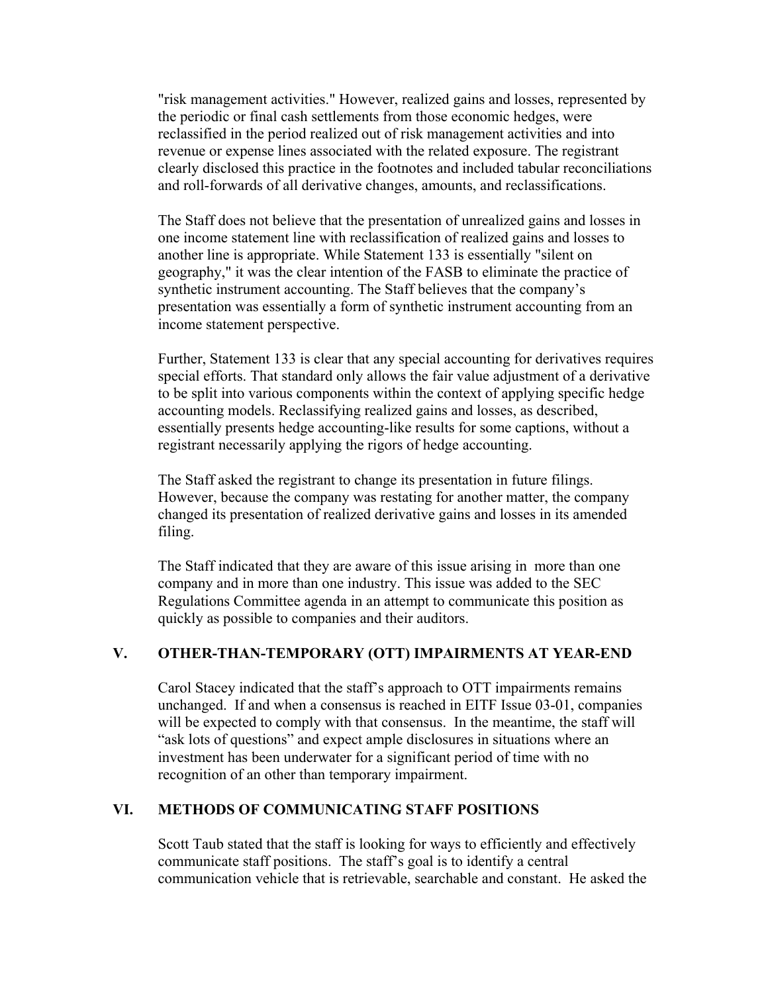"risk management activities." However, realized gains and losses, represented by the periodic or final cash settlements from those economic hedges, were reclassified in the period realized out of risk management activities and into revenue or expense lines associated with the related exposure. The registrant clearly disclosed this practice in the footnotes and included tabular reconciliations and roll-forwards of all derivative changes, amounts, and reclassifications.

The Staff does not believe that the presentation of unrealized gains and losses in one income statement line with reclassification of realized gains and losses to another line is appropriate. While Statement 133 is essentially "silent on geography," it was the clear intention of the FASB to eliminate the practice of synthetic instrument accounting. The Staff believes that the company's presentation was essentially a form of synthetic instrument accounting from an income statement perspective.

Further, Statement 133 is clear that any special accounting for derivatives requires special efforts. That standard only allows the fair value adjustment of a derivative to be split into various components within the context of applying specific hedge accounting models. Reclassifying realized gains and losses, as described, essentially presents hedge accounting-like results for some captions, without a registrant necessarily applying the rigors of hedge accounting.

The Staff asked the registrant to change its presentation in future filings. However, because the company was restating for another matter, the company changed its presentation of realized derivative gains and losses in its amended filing.

The Staff indicated that they are aware of this issue arising in more than one company and in more than one industry. This issue was added to the SEC Regulations Committee agenda in an attempt to communicate this position as quickly as possible to companies and their auditors.

### **V. OTHER-THAN-TEMPORARY (OTT) IMPAIRMENTS AT YEAR-END**

Carol Stacey indicated that the staff's approach to OTT impairments remains unchanged. If and when a consensus is reached in EITF Issue 03-01, companies will be expected to comply with that consensus. In the meantime, the staff will "ask lots of questions" and expect ample disclosures in situations where an investment has been underwater for a significant period of time with no recognition of an other than temporary impairment.

### **VI. METHODS OF COMMUNICATING STAFF POSITIONS**

Scott Taub stated that the staff is looking for ways to efficiently and effectively communicate staff positions. The staff's goal is to identify a central communication vehicle that is retrievable, searchable and constant. He asked the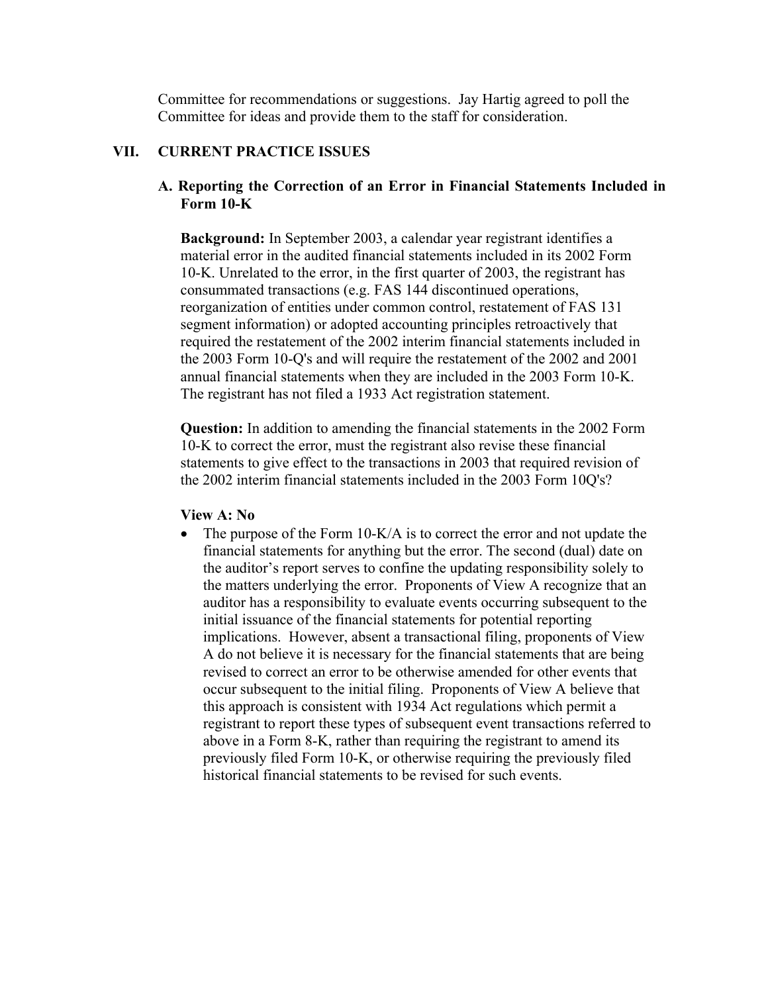Committee for recommendations or suggestions. Jay Hartig agreed to poll the Committee for ideas and provide them to the staff for consideration.

## **VII. CURRENT PRACTICE ISSUES**

## **A. Reporting the Correction of an Error in Financial Statements Included in Form 10-K**

**Background:** In September 2003, a calendar year registrant identifies a material error in the audited financial statements included in its 2002 Form 10-K. Unrelated to the error, in the first quarter of 2003, the registrant has consummated transactions (e.g. FAS 144 discontinued operations, reorganization of entities under common control, restatement of FAS 131 segment information) or adopted accounting principles retroactively that required the restatement of the 2002 interim financial statements included in the 2003 Form 10-Q's and will require the restatement of the 2002 and 2001 annual financial statements when they are included in the 2003 Form 10-K. The registrant has not filed a 1933 Act registration statement.

**Question:** In addition to amending the financial statements in the 2002 Form 10-K to correct the error, must the registrant also revise these financial statements to give effect to the transactions in 2003 that required revision of the 2002 interim financial statements included in the 2003 Form 10Q's?

#### **View A: No**

• The purpose of the Form 10-K/A is to correct the error and not update the financial statements for anything but the error. The second (dual) date on the auditor's report serves to confine the updating responsibility solely to the matters underlying the error. Proponents of View A recognize that an auditor has a responsibility to evaluate events occurring subsequent to the initial issuance of the financial statements for potential reporting implications. However, absent a transactional filing, proponents of View A do not believe it is necessary for the financial statements that are being revised to correct an error to be otherwise amended for other events that occur subsequent to the initial filing. Proponents of View A believe that this approach is consistent with 1934 Act regulations which permit a registrant to report these types of subsequent event transactions referred to above in a Form 8-K, rather than requiring the registrant to amend its previously filed Form 10-K, or otherwise requiring the previously filed historical financial statements to be revised for such events.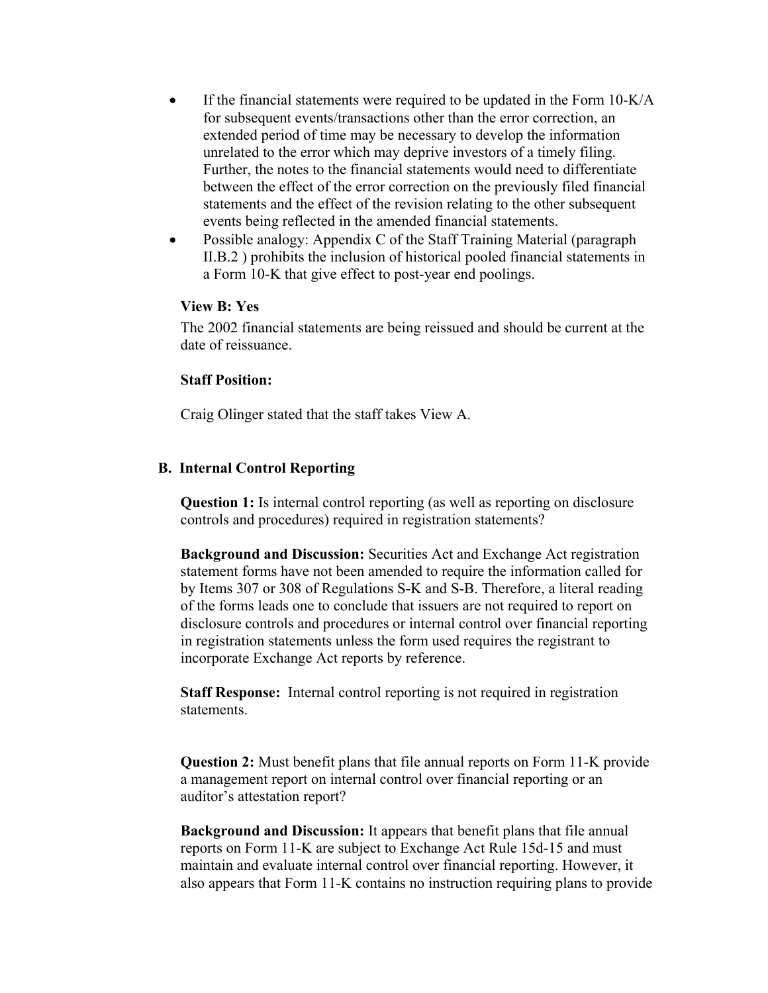- If the financial statements were required to be updated in the Form 10-K/A for subsequent events/transactions other than the error correction, an extended period of time may be necessary to develop the information unrelated to the error which may deprive investors of a timely filing. Further, the notes to the financial statements would need to differentiate between the effect of the error correction on the previously filed financial statements and the effect of the revision relating to the other subsequent events being reflected in the amended financial statements.
- Possible analogy: Appendix C of the Staff Training Material (paragraph II.B.2 ) prohibits the inclusion of historical pooled financial statements in a Form 10-K that give effect to post-year end poolings.

#### **View B: Yes**

The 2002 financial statements are being reissued and should be current at the date of reissuance.

### **Staff Position:**

Craig Olinger stated that the staff takes View A.

### **B. Internal Control Reporting**

**Question 1:** Is internal control reporting (as well as reporting on disclosure controls and procedures) required in registration statements?

**Background and Discussion:** Securities Act and Exchange Act registration statement forms have not been amended to require the information called for by Items 307 or 308 of Regulations S-K and S-B. Therefore, a literal reading of the forms leads one to conclude that issuers are not required to report on disclosure controls and procedures or internal control over financial reporting in registration statements unless the form used requires the registrant to incorporate Exchange Act reports by reference.

**Staff Response:** Internal control reporting is not required in registration statements.

**Question 2:** Must benefit plans that file annual reports on Form 11-K provide a management report on internal control over financial reporting or an auditor's attestation report?

**Background and Discussion:** It appears that benefit plans that file annual reports on Form 11-K are subject to Exchange Act Rule 15d-15 and must maintain and evaluate internal control over financial reporting. However, it also appears that Form 11-K contains no instruction requiring plans to provide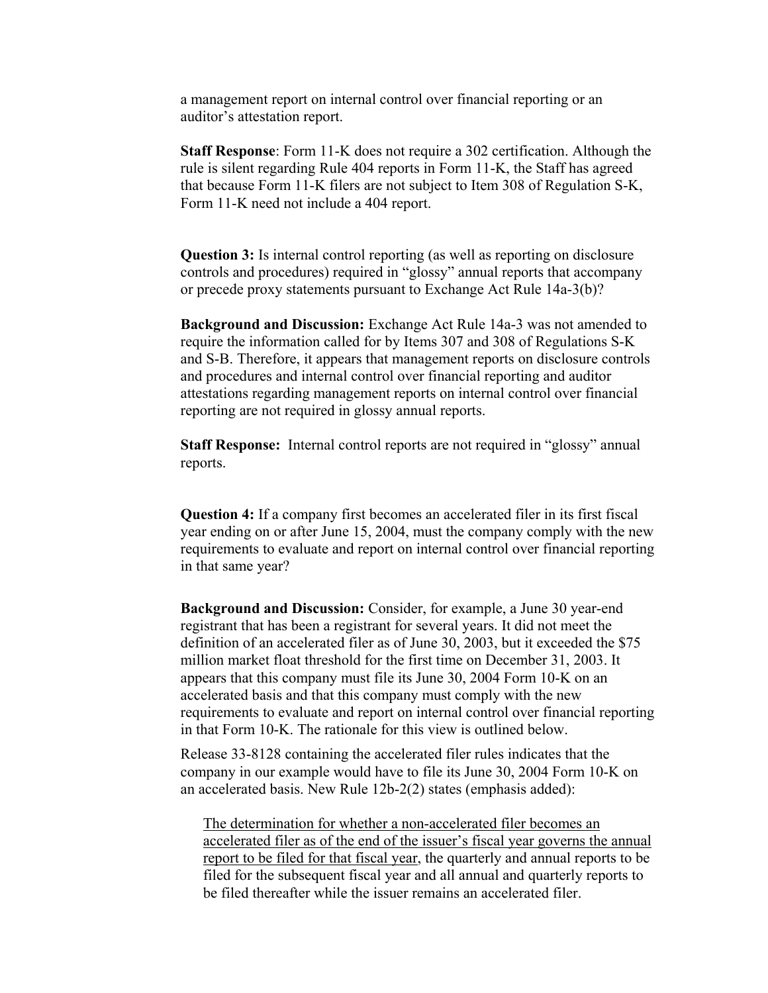a management report on internal control over financial reporting or an auditor's attestation report.

**Staff Response**: Form 11-K does not require a 302 certification. Although the rule is silent regarding Rule 404 reports in Form 11-K, the Staff has agreed that because Form 11-K filers are not subject to Item 308 of Regulation S-K, Form 11-K need not include a 404 report.

**Question 3:** Is internal control reporting (as well as reporting on disclosure controls and procedures) required in "glossy" annual reports that accompany or precede proxy statements pursuant to Exchange Act Rule 14a-3(b)?

**Background and Discussion:** Exchange Act Rule 14a-3 was not amended to require the information called for by Items 307 and 308 of Regulations S-K and S-B. Therefore, it appears that management reports on disclosure controls and procedures and internal control over financial reporting and auditor attestations regarding management reports on internal control over financial reporting are not required in glossy annual reports.

**Staff Response:** Internal control reports are not required in "glossy" annual reports.

**Question 4:** If a company first becomes an accelerated filer in its first fiscal year ending on or after June 15, 2004, must the company comply with the new requirements to evaluate and report on internal control over financial reporting in that same year?

**Background and Discussion:** Consider, for example, a June 30 year-end registrant that has been a registrant for several years. It did not meet the definition of an accelerated filer as of June 30, 2003, but it exceeded the \$75 million market float threshold for the first time on December 31, 2003. It appears that this company must file its June 30, 2004 Form 10-K on an accelerated basis and that this company must comply with the new requirements to evaluate and report on internal control over financial reporting in that Form 10-K. The rationale for this view is outlined below.

Release 33-8128 containing the accelerated filer rules indicates that the company in our example would have to file its June 30, 2004 Form 10-K on an accelerated basis. New Rule 12b-2(2) states (emphasis added):

The determination for whether a non-accelerated filer becomes an accelerated filer as of the end of the issuer's fiscal year governs the annual report to be filed for that fiscal year, the quarterly and annual reports to be filed for the subsequent fiscal year and all annual and quarterly reports to be filed thereafter while the issuer remains an accelerated filer.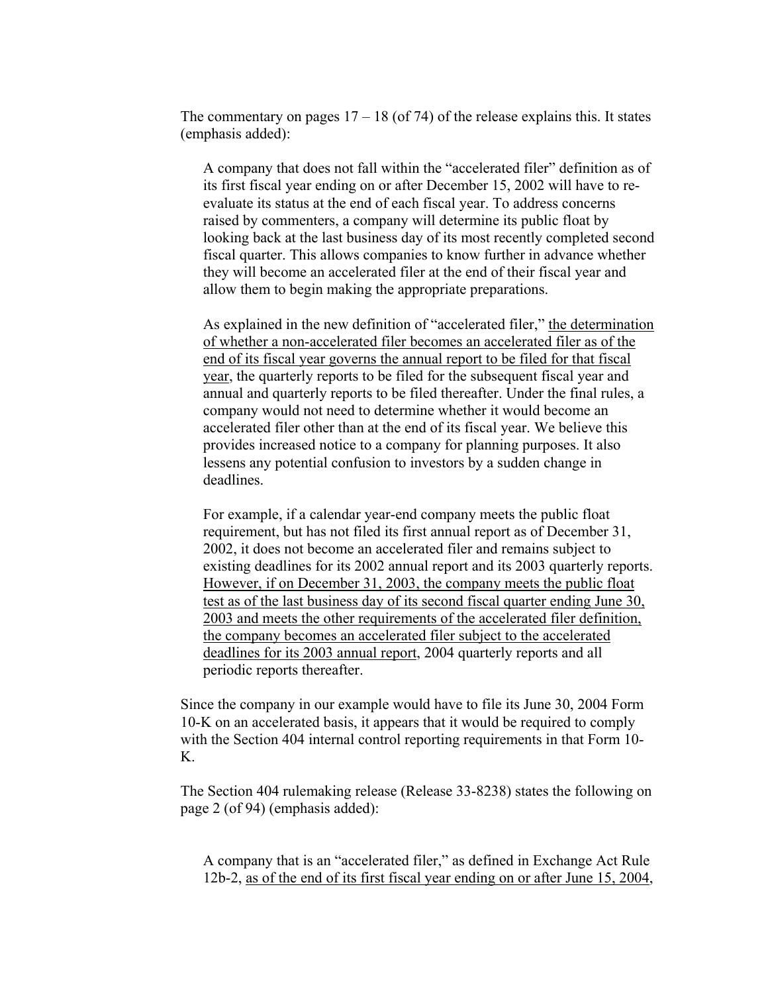The commentary on pages  $17 - 18$  (of 74) of the release explains this. It states (emphasis added):

A company that does not fall within the "accelerated filer" definition as of its first fiscal year ending on or after December 15, 2002 will have to reevaluate its status at the end of each fiscal year. To address concerns raised by commenters, a company will determine its public float by looking back at the last business day of its most recently completed second fiscal quarter. This allows companies to know further in advance whether they will become an accelerated filer at the end of their fiscal year and allow them to begin making the appropriate preparations.

As explained in the new definition of "accelerated filer," the determination of whether a non-accelerated filer becomes an accelerated filer as of the end of its fiscal year governs the annual report to be filed for that fiscal year, the quarterly reports to be filed for the subsequent fiscal year and annual and quarterly reports to be filed thereafter. Under the final rules, a company would not need to determine whether it would become an accelerated filer other than at the end of its fiscal year. We believe this provides increased notice to a company for planning purposes. It also lessens any potential confusion to investors by a sudden change in deadlines.

For example, if a calendar year-end company meets the public float requirement, but has not filed its first annual report as of December 31, 2002, it does not become an accelerated filer and remains subject to existing deadlines for its 2002 annual report and its 2003 quarterly reports. However, if on December 31, 2003, the company meets the public float test as of the last business day of its second fiscal quarter ending June 30, 2003 and meets the other requirements of the accelerated filer definition, the company becomes an accelerated filer subject to the accelerated deadlines for its 2003 annual report, 2004 quarterly reports and all periodic reports thereafter.

Since the company in our example would have to file its June 30, 2004 Form 10-K on an accelerated basis, it appears that it would be required to comply with the Section 404 internal control reporting requirements in that Form 10- K.

The Section 404 rulemaking release (Release 33-8238) states the following on page 2 (of 94) (emphasis added):

A company that is an "accelerated filer," as defined in Exchange Act Rule 12b-2, as of the end of its first fiscal year ending on or after June 15, 2004,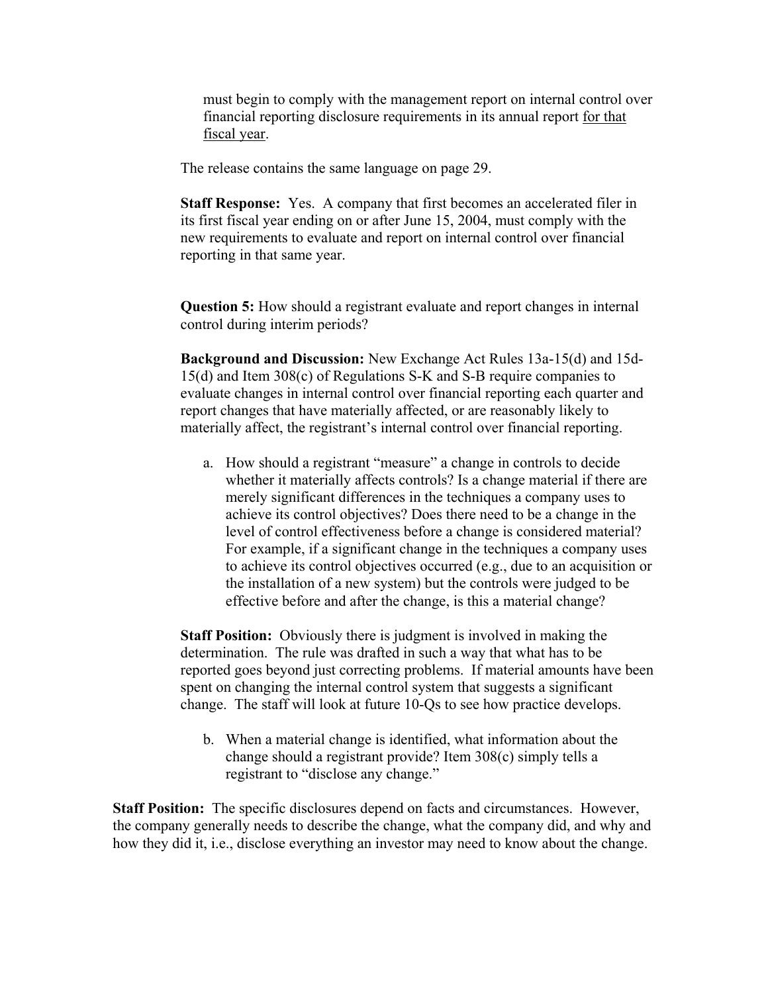must begin to comply with the management report on internal control over financial reporting disclosure requirements in its annual report for that fiscal year.

The release contains the same language on page 29.

**Staff Response:** Yes. A company that first becomes an accelerated filer in its first fiscal year ending on or after June 15, 2004, must comply with the new requirements to evaluate and report on internal control over financial reporting in that same year.

**Question 5:** How should a registrant evaluate and report changes in internal control during interim periods?

**Background and Discussion:** New Exchange Act Rules 13a-15(d) and 15d-15(d) and Item 308(c) of Regulations S-K and S-B require companies to evaluate changes in internal control over financial reporting each quarter and report changes that have materially affected, or are reasonably likely to materially affect, the registrant's internal control over financial reporting.

a. How should a registrant "measure" a change in controls to decide whether it materially affects controls? Is a change material if there are merely significant differences in the techniques a company uses to achieve its control objectives? Does there need to be a change in the level of control effectiveness before a change is considered material? For example, if a significant change in the techniques a company uses to achieve its control objectives occurred (e.g., due to an acquisition or the installation of a new system) but the controls were judged to be effective before and after the change, is this a material change?

**Staff Position:** Obviously there is judgment is involved in making the determination. The rule was drafted in such a way that what has to be reported goes beyond just correcting problems. If material amounts have been spent on changing the internal control system that suggests a significant change. The staff will look at future 10-Qs to see how practice develops.

b. When a material change is identified, what information about the change should a registrant provide? Item 308(c) simply tells a registrant to "disclose any change."

**Staff Position:** The specific disclosures depend on facts and circumstances. However, the company generally needs to describe the change, what the company did, and why and how they did it, i.e., disclose everything an investor may need to know about the change.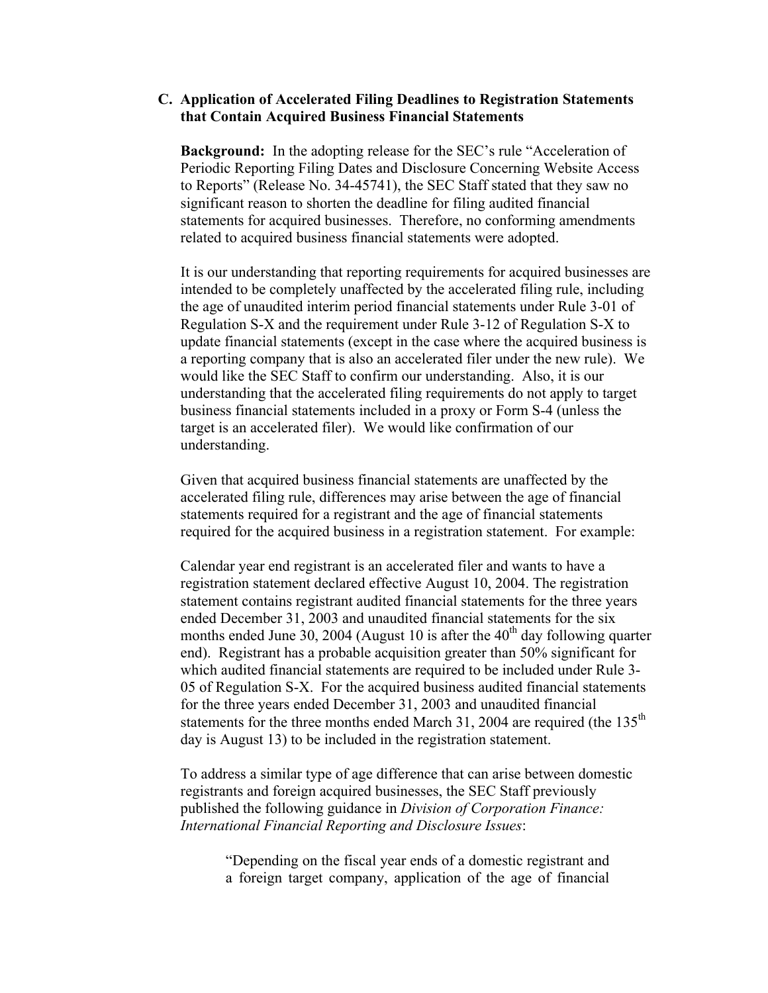#### **C. Application of Accelerated Filing Deadlines to Registration Statements that Contain Acquired Business Financial Statements**

**Background:** In the adopting release for the SEC's rule "Acceleration of Periodic Reporting Filing Dates and Disclosure Concerning Website Access to Reports" (Release No. 34-45741), the SEC Staff stated that they saw no significant reason to shorten the deadline for filing audited financial statements for acquired businesses. Therefore, no conforming amendments related to acquired business financial statements were adopted.

It is our understanding that reporting requirements for acquired businesses are intended to be completely unaffected by the accelerated filing rule, including the age of unaudited interim period financial statements under Rule 3-01 of Regulation S-X and the requirement under Rule 3-12 of Regulation S-X to update financial statements (except in the case where the acquired business is a reporting company that is also an accelerated filer under the new rule). We would like the SEC Staff to confirm our understanding. Also, it is our understanding that the accelerated filing requirements do not apply to target business financial statements included in a proxy or Form S-4 (unless the target is an accelerated filer). We would like confirmation of our understanding.

Given that acquired business financial statements are unaffected by the accelerated filing rule, differences may arise between the age of financial statements required for a registrant and the age of financial statements required for the acquired business in a registration statement. For example:

Calendar year end registrant is an accelerated filer and wants to have a registration statement declared effective August 10, 2004. The registration statement contains registrant audited financial statements for the three years ended December 31, 2003 and unaudited financial statements for the six months ended June 30, 2004 (August 10 is after the  $40<sup>th</sup>$  day following quarter end). Registrant has a probable acquisition greater than 50% significant for which audited financial statements are required to be included under Rule 3- 05 of Regulation S-X. For the acquired business audited financial statements for the three years ended December 31, 2003 and unaudited financial statements for the three months ended March 31, 2004 are required (the  $135<sup>th</sup>$ day is August 13) to be included in the registration statement.

To address a similar type of age difference that can arise between domestic registrants and foreign acquired businesses, the SEC Staff previously published the following guidance in *Division of Corporation Finance: International Financial Reporting and Disclosure Issues*:

"Depending on the fiscal year ends of a domestic registrant and a foreign target company, application of the age of financial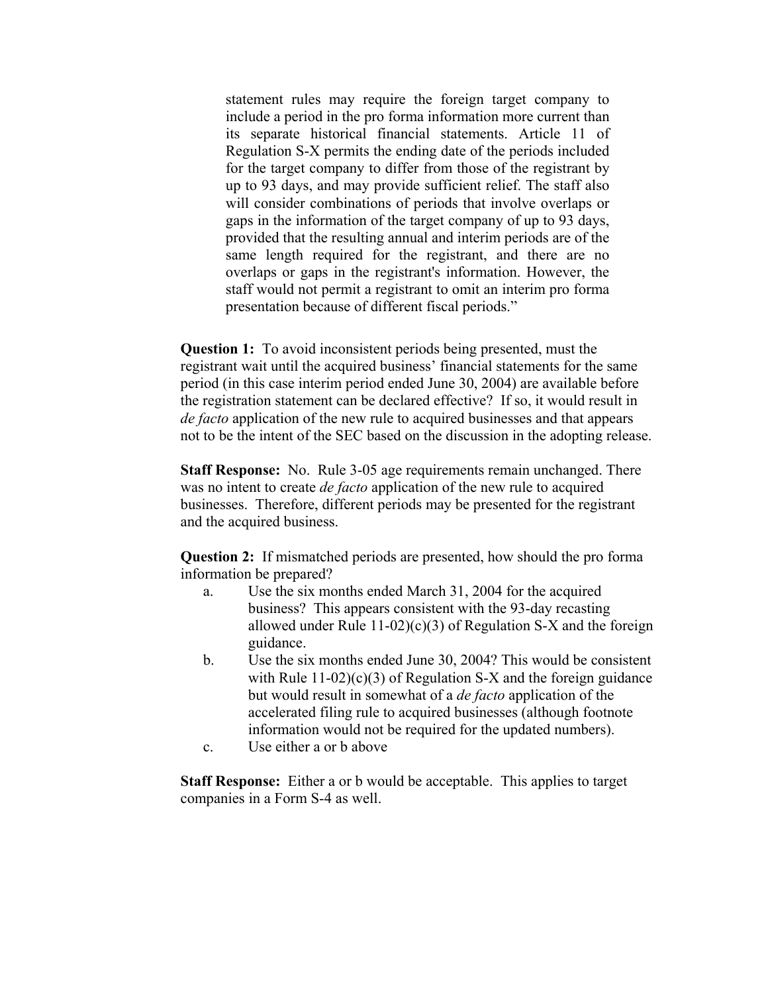statement rules may require the foreign target company to include a period in the pro forma information more current than its separate historical financial statements. Article 11 of Regulation S-X permits the ending date of the periods included for the target company to differ from those of the registrant by up to 93 days, and may provide sufficient relief. The staff also will consider combinations of periods that involve overlaps or gaps in the information of the target company of up to 93 days, provided that the resulting annual and interim periods are of the same length required for the registrant, and there are no overlaps or gaps in the registrant's information. However, the staff would not permit a registrant to omit an interim pro forma presentation because of different fiscal periods."

**Question 1:** To avoid inconsistent periods being presented, must the registrant wait until the acquired business' financial statements for the same period (in this case interim period ended June 30, 2004) are available before the registration statement can be declared effective? If so, it would result in *de facto* application of the new rule to acquired businesses and that appears not to be the intent of the SEC based on the discussion in the adopting release.

**Staff Response:** No. Rule 3-05 age requirements remain unchanged. There was no intent to create *de facto* application of the new rule to acquired businesses. Therefore, different periods may be presented for the registrant and the acquired business.

**Question 2:** If mismatched periods are presented, how should the pro forma information be prepared?

- a. Use the six months ended March 31, 2004 for the acquired business? This appears consistent with the 93-day recasting allowed under Rule  $11-02$ )(c)(3) of Regulation S-X and the foreign guidance.
- b. Use the six months ended June 30, 2004? This would be consistent with Rule  $11-02$ )(c)(3) of Regulation S-X and the foreign guidance but would result in somewhat of a *de facto* application of the accelerated filing rule to acquired businesses (although footnote information would not be required for the updated numbers).
- c. Use either a or b above

**Staff Response:** Either a or b would be acceptable. This applies to target companies in a Form S-4 as well.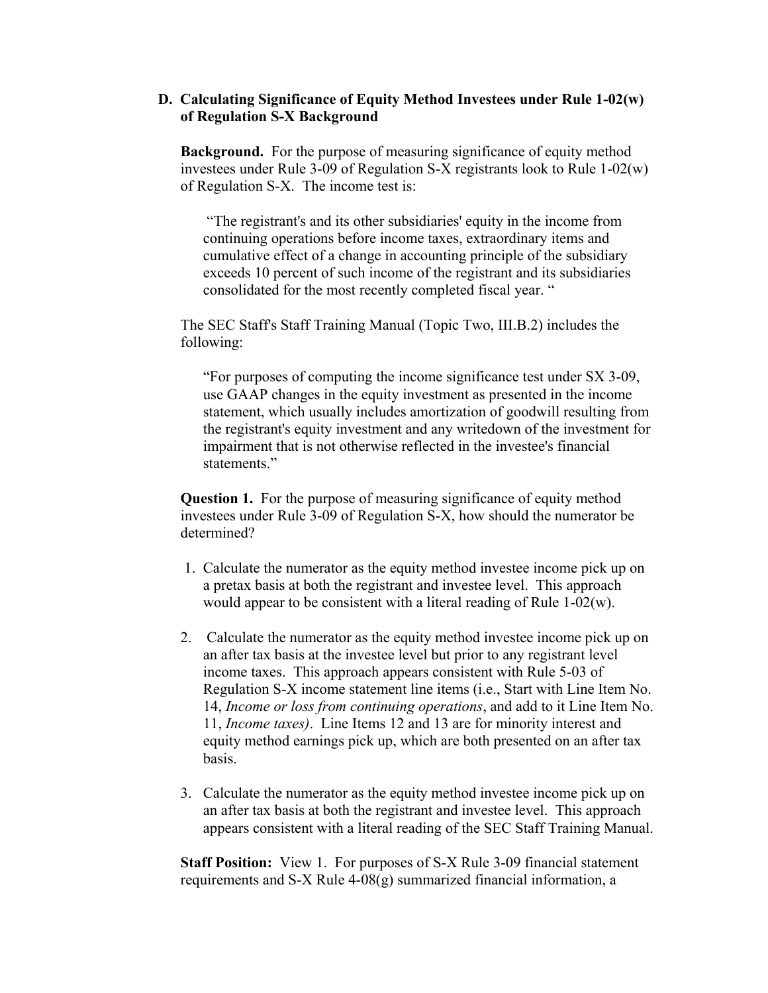### **D. Calculating Significance of Equity Method Investees under Rule 1-02(w) of Regulation S-X Background**

**Background.** For the purpose of measuring significance of equity method investees under Rule 3-09 of Regulation S-X registrants look to Rule 1-02(w) of Regulation S-X. The income test is:

 "The registrant's and its other subsidiaries' equity in the income from continuing operations before income taxes, extraordinary items and cumulative effect of a change in accounting principle of the subsidiary exceeds 10 percent of such income of the registrant and its subsidiaries consolidated for the most recently completed fiscal year. "

The SEC Staff's Staff Training Manual (Topic Two, III.B.2) includes the following:

"For purposes of computing the income significance test under SX 3-09, use GAAP changes in the equity investment as presented in the income statement, which usually includes amortization of goodwill resulting from the registrant's equity investment and any writedown of the investment for impairment that is not otherwise reflected in the investee's financial statements."

**Question 1.** For the purpose of measuring significance of equity method investees under Rule 3-09 of Regulation S-X, how should the numerator be determined?

- 1. Calculate the numerator as the equity method investee income pick up on a pretax basis at both the registrant and investee level. This approach would appear to be consistent with a literal reading of Rule 1-02(w).
- 2. Calculate the numerator as the equity method investee income pick up on an after tax basis at the investee level but prior to any registrant level income taxes. This approach appears consistent with Rule 5-03 of Regulation S-X income statement line items (i.e., Start with Line Item No. 14, *Income or loss from continuing operations*, and add to it Line Item No. 11, *Income taxes)*. Line Items 12 and 13 are for minority interest and equity method earnings pick up, which are both presented on an after tax basis.
- 3. Calculate the numerator as the equity method investee income pick up on an after tax basis at both the registrant and investee level. This approach appears consistent with a literal reading of the SEC Staff Training Manual.

**Staff Position:** View 1. For purposes of S-X Rule 3-09 financial statement requirements and S-X Rule 4-08(g) summarized financial information, a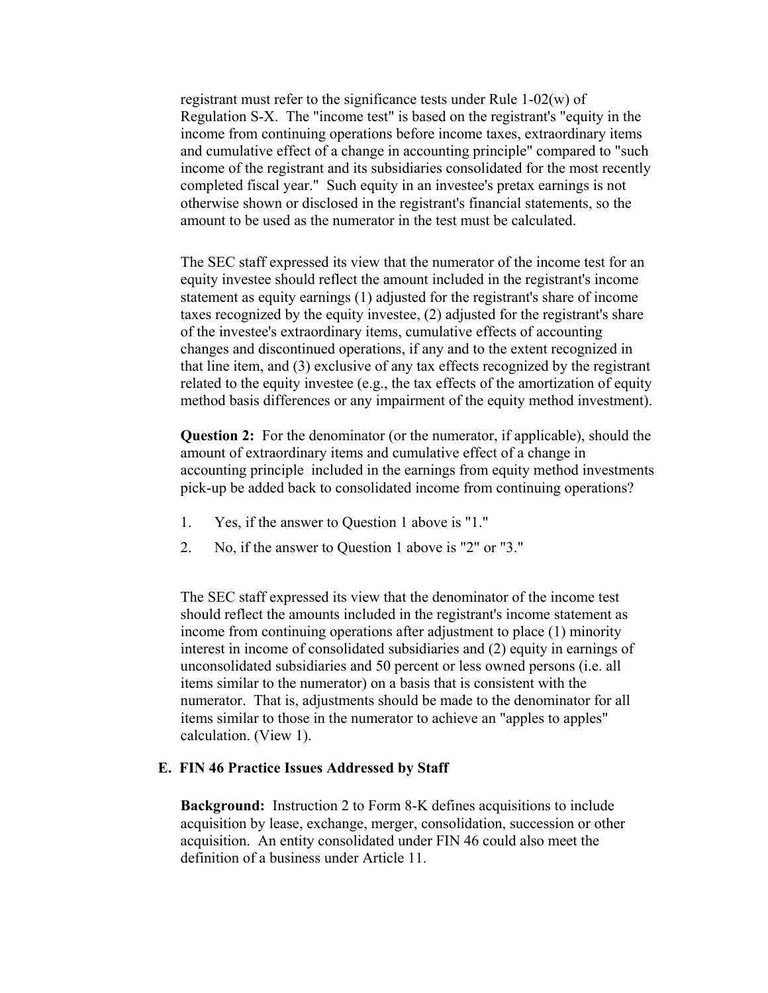registrant must refer to the significance tests under Rule 1-02(w) of Regulation S-X. The "income test" is based on the registrant's "equity in the income from continuing operations before income taxes, extraordinary items and cumulative effect of a change in accounting principle" compared to "such income of the registrant and its subsidiaries consolidated for the most recently completed fiscal year." Such equity in an investee's pretax earnings is not otherwise shown or disclosed in the registrant's financial statements, so the amount to be used as the numerator in the test must be calculated.

The SEC staff expressed its view that the numerator of the income test for an equity investee should reflect the amount included in the registrant's income statement as equity earnings (1) adjusted for the registrant's share of income taxes recognized by the equity investee, (2) adjusted for the registrant's share of the investee's extraordinary items, cumulative effects of accounting changes and discontinued operations, if any and to the extent recognized in that line item, and (3) exclusive of any tax effects recognized by the registrant related to the equity investee (e.g., the tax effects of the amortization of equity method basis differences or any impairment of the equity method investment).

**Question 2:** For the denominator (or the numerator, if applicable), should the amount of extraordinary items and cumulative effect of a change in accounting principle included in the earnings from equity method investments pick-up be added back to consolidated income from continuing operations?

- 1. Yes, if the answer to Question 1 above is "1."
- 2. No, if the answer to Question 1 above is "2" or "3."

The SEC staff expressed its view that the denominator of the income test should reflect the amounts included in the registrant's income statement as income from continuing operations after adjustment to place (1) minority interest in income of consolidated subsidiaries and (2) equity in earnings of unconsolidated subsidiaries and 50 percent or less owned persons (i.e. all items similar to the numerator) on a basis that is consistent with the numerator. That is, adjustments should be made to the denominator for all items similar to those in the numerator to achieve an "apples to apples" calculation. (View 1).

### **E. FIN 46 Practice Issues Addressed by Staff**

**Background:** Instruction 2 to Form 8-K defines acquisitions to include acquisition by lease, exchange, merger, consolidation, succession or other acquisition. An entity consolidated under FIN 46 could also meet the definition of a business under Article 11.